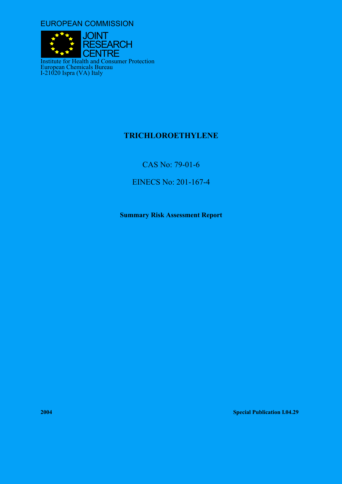EUROPEAN COMMISSION



# **TRICHLOROETHYLENE**

CAS No: 79-01-6

EINECS No: 201-167-4

**Summary Risk Assessment Report** 

**2004 Special Publication I.04.29**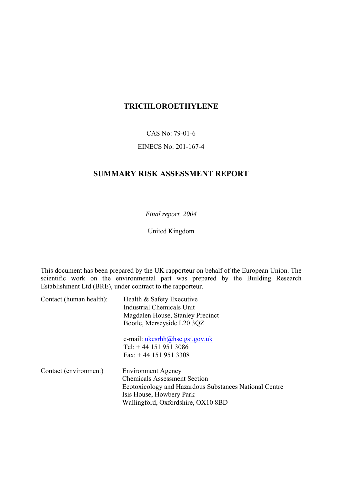# **TRICHLOROETHYLENE**

CAS No: 79-01-6

## EINECS No: 201-167-4

# **SUMMARY RISK ASSESSMENT REPORT**

*Final report, 2004*

United Kingdom

This document has been prepared by the UK rapporteur on behalf of the European Union. The scientific work on the environmental part was prepared by the Building Research Establishment Ltd (BRE), under contract to the rapporteur.

| Contact (human health): | Health & Safety Executive                              |  |  |  |  |
|-------------------------|--------------------------------------------------------|--|--|--|--|
|                         | Industrial Chemicals Unit                              |  |  |  |  |
|                         | Magdalen House, Stanley Precinct                       |  |  |  |  |
|                         | Bootle, Merseyside L20 3QZ                             |  |  |  |  |
|                         | e-mail: $ukesrhh@hse.gsi.gov.uk$                       |  |  |  |  |
|                         | Tel: $+44$ 151 951 3086                                |  |  |  |  |
|                         | Fax: $+44$ 151 951 3308                                |  |  |  |  |
| Contact (environment)   | <b>Environment Agency</b>                              |  |  |  |  |
|                         | <b>Chemicals Assessment Section</b>                    |  |  |  |  |
|                         | Ecotoxicology and Hazardous Substances National Centre |  |  |  |  |
|                         | Isis House, Howbery Park                               |  |  |  |  |
|                         | Wallingford, Oxfordshire, OX10 8BD                     |  |  |  |  |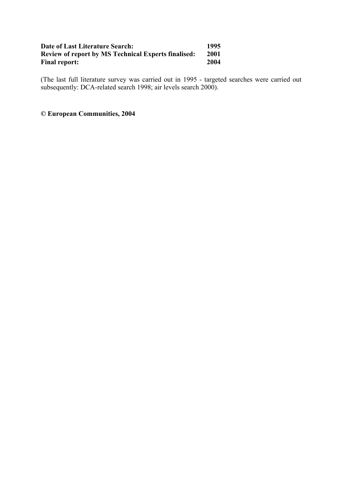## **Date of Last Literature Search: 1995 Review of report by MS Technical Experts finalised:** 2001<br>Final report: 2004 **Final report:**

(The last full literature survey was carried out in 1995 - targeted searches were carried out subsequently: DCA-related search 1998; air levels search 2000).

## **© European Communities, 2004**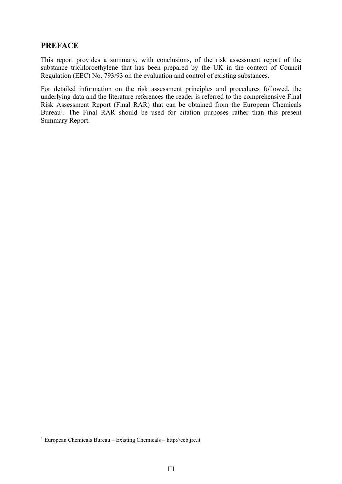## **PREFACE**

This report provides a summary, with conclusions, of the risk assessment report of the substance trichloroethylene that has been prepared by the UK in the context of Council Regulation (EEC) No. 793/93 on the evaluation and control of existing substances.

For detailed information on the risk assessment principles and procedures followed, the underlying data and the literature references the reader is referred to the comprehensive Final Risk Assessment Report (Final RAR) that can be obtained from the European Chemicals Bureau<sup>1</sup>. The Final RAR should be used for citation purposes rather than this present Summary Report.

 $\overline{a}$ 

<span id="page-4-0"></span> $1$  European Chemicals Bureau – Existing Chemicals – http://ecb.jrc.it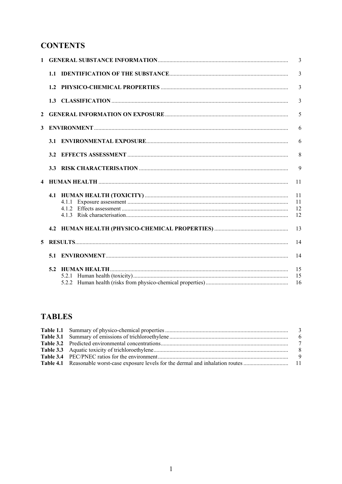# **CONTENTS**

| $\mathbf{1}$ |                                                                                                                                                    | 3              |
|--------------|----------------------------------------------------------------------------------------------------------------------------------------------------|----------------|
|              |                                                                                                                                                    | $\overline{3}$ |
|              |                                                                                                                                                    | $\overline{3}$ |
|              |                                                                                                                                                    | $\overline{3}$ |
| $\mathbf{2}$ |                                                                                                                                                    | 5              |
| $\mathbf{3}$ | $ENTI  \n  ENTI  \n  1  \n  1  \n  1  \n  2  \n  2  \n  2  \n  3  \n  3  \n  4  \n  4  \n  5  \n  6  \n  6  \n  6  \n  7  \n  8  \n  8  \n  9  \n$ | 6              |
|              |                                                                                                                                                    | 6              |
|              |                                                                                                                                                    | 8              |
|              |                                                                                                                                                    | 9              |
|              |                                                                                                                                                    | 11             |
|              |                                                                                                                                                    | 11             |
|              |                                                                                                                                                    | 11             |
|              |                                                                                                                                                    | 12             |
|              |                                                                                                                                                    | 12             |
|              |                                                                                                                                                    |                |
|              |                                                                                                                                                    | 13             |
| 5            |                                                                                                                                                    | 14             |
|              |                                                                                                                                                    | 14             |
|              |                                                                                                                                                    | 15             |
|              | 5.2.1                                                                                                                                              | 15<br>16       |

# **TABLES**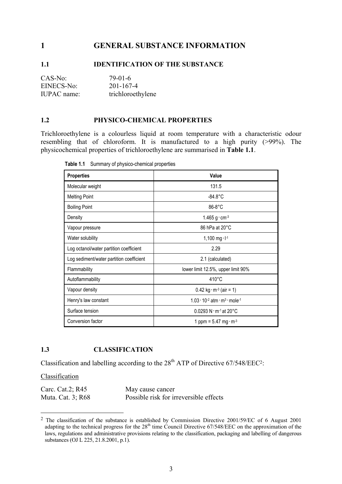## <span id="page-8-0"></span>**1 GENERAL SUBSTANCE INFORMATION**

## **1.1 IDENTIFICATION OF THE SUBSTANCE**

| CAS-No:     | 79-01-6           |
|-------------|-------------------|
| EINECS-No:  | 201-167-4         |
| IUPAC name: | trichloroethylene |

#### **1.2 PHYSICO-CHEMICAL PROPERTIES**

Trichloroethylene is a colourless liquid at room temperature with a characteristic odour resembling that of chloroform. It is manufactured to a high purity (>99%). The physicochemical properties of trichloroethylene are summarised in **Table 1.1**.

| <b>Properties</b>                        | Value                                                                      |
|------------------------------------------|----------------------------------------------------------------------------|
| Molecular weight                         | 131.5                                                                      |
| <b>Melting Point</b>                     | $-84.8^{\circ}$ C                                                          |
| <b>Boiling Point</b>                     | 86-8°C                                                                     |
| Density                                  | 1.465 $g \cdot cm^{-3}$                                                    |
| Vapour pressure                          | 86 hPa at 20°C                                                             |
| Water solubility                         | 1,100 mg $\cdot$ $I^{-1}$                                                  |
| Log octanol/water partition coefficient  | 2.29                                                                       |
| Log sediment/water partition coefficient | 2.1 (calculated)                                                           |
| Flammability                             | lower limit 12.5%, upper limit 90%                                         |
| Autoflammability                         | $410^{\circ}$ C                                                            |
| Vapour density                           | $0.42$ kg · m <sup>-3</sup> (air = 1)                                      |
| Henry's law constant                     | $1.03 \cdot 10^{-2}$ atm $\cdot$ m <sup>3</sup> $\cdot$ mole <sup>-1</sup> |
| Surface tension                          | $0.0293 N \cdot m^{-1}$ at 20 °C                                           |
| Conversion factor                        | 1 ppm = $5.47$ mg $\cdot$ m <sup>-3</sup>                                  |

**Table 1.1** Summary of physico-chemical properties

## **1.3 CLASSIFICATION**

Classification and labelling according to the  $28<sup>th</sup>$  ATP of Directive 67/548/EEC<sup>2</sup>:

Classification

 $\overline{a}$ 

| Carc. Cat.2; R45  | May cause cancer                       |
|-------------------|----------------------------------------|
| Muta. Cat. 3; R68 | Possible risk for irreversible effects |

<span id="page-8-1"></span><sup>2</sup> The classification of the substance is established by Commission Directive 2001/59/EC of 6 August 2001 adapting to the technical progress for the 28<sup>th</sup> time Council Directive 67/548/EEC on the approximation of the laws, regulations and administrative provisions relating to the classification, packaging and labelling of dangerous substances (OJ L 225, 21.8.2001, p.1).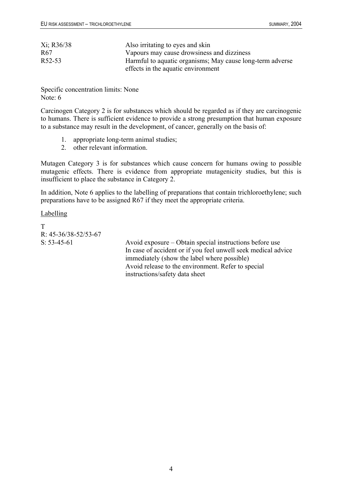| Xi; R36/38      | Also irritating to eyes and skin                          |
|-----------------|-----------------------------------------------------------|
| R <sub>67</sub> | Vapours may cause drowsiness and dizziness                |
| R52-53          | Harmful to aquatic organisms; May cause long-term adverse |
|                 | effects in the aquatic environment                        |

Specific concentration limits: None Note: 6

Carcinogen Category 2 is for substances which should be regarded as if they are carcinogenic to humans. There is sufficient evidence to provide a strong presumption that human exposure to a substance may result in the development, of cancer, generally on the basis of:

- 1. appropriate long-term animal studies;
- 2. other relevant information.

Mutagen Category 3 is for substances which cause concern for humans owing to possible mutagenic effects. There is evidence from appropriate mutagenicity studies, but this is insufficient to place the substance in Category 2.

In addition, Note 6 applies to the labelling of preparations that contain trichloroethylene; such preparations have to be assigned R67 if they meet the appropriate criteria.

**Labelling** 

T R: 45-36/38-52/53-67

S: 53-45-61 Avoid exposure – Obtain special instructions before use In case of accident or if you feel unwell seek medical advice immediately (show the label where possible) Avoid release to the environment. Refer to special instructions/safety data sheet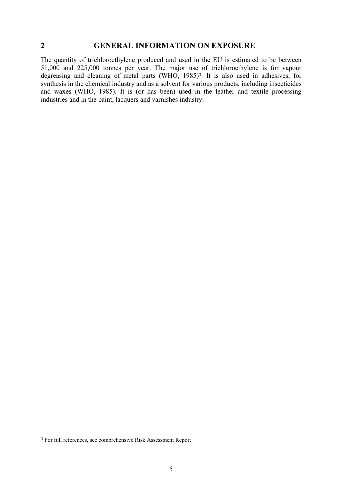#### <span id="page-10-0"></span>**2 GENERAL INFORMATION ON EXPOSURE**

The quantity of trichloroethylene produced and used in the EU is estimated to be between 51,000 and 225,000 tonnes per year. The major use of trichloroethylene is for vapour degreasing and cleaning of metal parts (WHO, 1985)<sup>3</sup>. It is also used in adhesives, for synthesis in the chemical industry and as a solvent for various products, including insecticides and waxes (WHO, 1985). It is (or has been) used in the leather and textile processing industries and in the paint, lacquers and varnishes industry.

 $\overline{a}$ 

<span id="page-10-1"></span><sup>&</sup>lt;sup>3</sup> For full references, see comprehensive Risk Assessment Report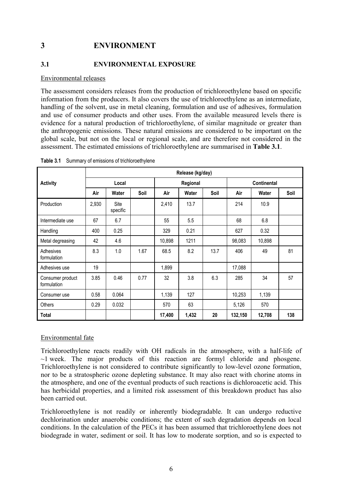# <span id="page-11-0"></span>**3 ENVIRONMENT**

#### **3.1 ENVIRONMENTAL EXPOSURE**

#### Environmental releases

The assessment considers releases from the production of trichloroethylene based on specific information from the producers. It also covers the use of trichloroethylene as an intermediate, handling of the solvent, use in metal cleaning, formulation and use of adhesives, formulation and use of consumer products and other uses. From the available measured levels there is evidence for a natural production of trichloroethylene, of similar magnitude or greater than the anthropogenic emissions. These natural emissions are considered to be important on the global scale, but not on the local or regional scale, and are therefore not considered in the assessment. The estimated emissions of trichloroethylene are summarised in **Table 3.1**.

|                                 | Release (kg/day) |                  |          |        |                    |      |         |        |      |
|---------------------------------|------------------|------------------|----------|--------|--------------------|------|---------|--------|------|
| <b>Activity</b>                 | Local            |                  | Regional |        | <b>Continental</b> |      |         |        |      |
|                                 | Air              | Water            | Soil     | Air    | Water              | Soil | Air     | Water  | Soil |
| Production                      | 2,930            | Site<br>specific |          | 2,410  | 13.7               |      | 214     | 10.9   |      |
| Intermediate use                | 67               | 6.7              |          | 55     | 5.5                |      | 68      | 6.8    |      |
| Handling                        | 400              | 0.25             |          | 329    | 0.21               |      | 627     | 0.32   |      |
| Metal degreasing                | 42               | 4.6              |          | 10,898 | 1211               |      | 98,083  | 10,898 |      |
| Adhesives<br>formulation        | 8.3              | 1.0              | 1.67     | 68.5   | 8.2                | 13.7 | 406     | 49     | 81   |
| Adhesives use                   | 19               |                  |          | 1,899  |                    |      | 17,088  |        |      |
| Consumer product<br>formulation | 3.85             | 0.46             | 0.77     | 32     | 3.8                | 6.3  | 285     | 34     | 57   |
| Consumer use                    | 0.58             | 0.064            |          | 1,139  | 127                |      | 10,253  | 1,139  |      |
| Others                          | 0.29             | 0.032            |          | 570    | 63                 |      | 5,126   | 570    |      |
| <b>Total</b>                    |                  |                  |          | 17,400 | 1,432              | 20   | 132,150 | 12,708 | 138  |

**Table 3.1** Summary of emissions of trichloroethylene

## Environmental fate

Trichloroethylene reacts readily with OH radicals in the atmosphere, with a half-life of  $\sim$ 1 week. The major products of this reaction are formyl chloride and phosgene. Trichloroethylene is not considered to contribute significantly to low-level ozone formation, nor to be a stratospheric ozone depleting substance. It may also react with chorine atoms in the atmosphere, and one of the eventual products of such reactions is dichloroacetic acid. This has herbicidal properties, and a limited risk assessment of this breakdown product has also been carried out.

Trichloroethylene is not readily or inherently biodegradable. It can undergo reductive dechlorination under anaerobic conditions; the extent of such degradation depends on local conditions. In the calculation of the PECs it has been assumed that trichloroethylene does not biodegrade in water, sediment or soil. It has low to moderate sorption, and so is expected to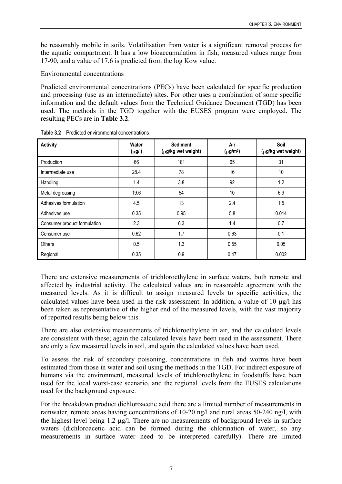<span id="page-12-0"></span>be reasonably mobile in soils. Volatilisation from water is a significant removal process for the aquatic compartment. It has a low bioaccumulation in fish; measured values range from 17-90, and a value of 17.6 is predicted from the log Kow value.

## Environmental concentrations

Predicted environmental concentrations (PECs) have been calculated for specific production and processing (use as an intermediate) sites. For other uses a combination of some specific information and the default values from the Technical Guidance Document (TGD) has been used. The methods in the TGD together with the EUSES program were employed. The resulting PECs are in **Table 3.2**.

| <b>Activity</b>              | Water<br>$(\mu g/l)$ | <b>Sediment</b><br>(µg/kg wet weight) | Air<br>$(\mu g/m^3)$ | Soil<br>(µg/kg wet weight) |
|------------------------------|----------------------|---------------------------------------|----------------------|----------------------------|
| Production                   | 66                   | 181                                   | 65                   | 31                         |
| Intermediate use             | 28.4                 | 78                                    | 16                   | 10                         |
| Handling                     | 1.4                  | 3.8                                   | 92                   | 1.2                        |
| Metal degreasing             | 19.6                 | 54                                    | 10                   | 6.9                        |
| Adhesives formulation        | 4.5                  | 13                                    | 2.4                  | 1.5                        |
| Adhesives use                | 0.35                 | 0.95                                  | 5.8                  | 0.014                      |
| Consumer product formulation | 2.3                  | 6.3                                   | 1.4                  | 0.7                        |
| Consumer use                 | 0.62                 | 1.7                                   | 0.63                 | 0.1                        |
| Others                       | 0.5                  | 1.3                                   | 0.55                 | 0.05                       |
| Regional                     | 0.35                 | 0.9                                   | 0.47                 | 0.002                      |

**Table 3.2** Predicted environmental concentrations

There are extensive measurements of trichloroethylene in surface waters, both remote and affected by industrial activity. The calculated values are in reasonable agreement with the measured levels. As it is difficult to assign measured levels to specific activities, the calculated values have been used in the risk assessment. In addition, a value of 10 µg/l has been taken as representative of the higher end of the measured levels, with the vast majority of reported results being below this.

There are also extensive measurements of trichloroethylene in air, and the calculated levels are consistent with these; again the calculated levels have been used in the assessment. There are only a few measured levels in soil, and again the calculated values have been used.

To assess the risk of secondary poisoning, concentrations in fish and worms have been estimated from those in water and soil using the methods in the TGD. For indirect exposure of humans via the environment, measured levels of trichloroethylene in foodstuffs have been used for the local worst-case scenario, and the regional levels from the EUSES calculations used for the background exposure.

For the breakdown product dichloroacetic acid there are a limited number of measurements in rainwater, remote areas having concentrations of 10-20 ng/l and rural areas 50-240 ng/l, with the highest level being 1.2 µg/l. There are no measurements of background levels in surface waters (dichloroacetic acid can be formed during the chlorination of water, so any measurements in surface water need to be interpreted carefully). There are limited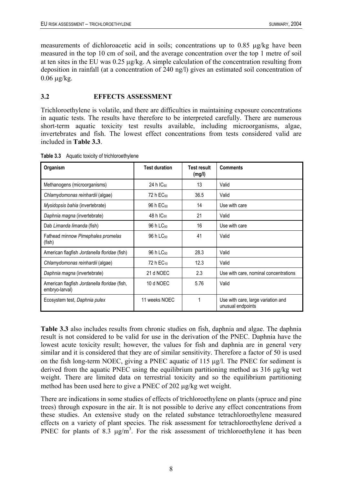<span id="page-13-0"></span>measurements of dichloroacetic acid in soils; concentrations up to 0.85 µg/kg have been measured in the top 10 cm of soil, and the average concentration over the top 1 metre of soil at ten sites in the EU was 0.25 µg/kg. A simple calculation of the concentration resulting from deposition in rainfall (at a concentration of 240 ng/l) gives an estimated soil concentration of  $0.06 \mu g/kg$ .

## **3.2 EFFECTS ASSESSMENT**

Trichloroethylene is volatile, and there are difficulties in maintaining exposure concentrations in aquatic tests. The results have therefore to be interpreted carefully. There are numerous short-term aquatic toxicity test results available, including microorganisms, algae, invertebrates and fish. The lowest effect concentrations from tests considered valid are included in **Table 3.3**.

| Organism                                                       | <b>Test duration</b>  | <b>Test result</b><br>(mg/l) | <b>Comments</b>                                         |
|----------------------------------------------------------------|-----------------------|------------------------------|---------------------------------------------------------|
| Methanogens (microorganisms)                                   | 24 h IC <sub>50</sub> | 13                           | Valid                                                   |
| Chlamydomonas reinhardii (algae)                               | 72 h EC <sub>50</sub> | 36.5                         | Valid                                                   |
| Mysidopsis bahia (invertebrate)                                | 96 h EC <sub>50</sub> | 14                           | Use with care                                           |
| Daphnia magna (invertebrate)                                   | 48 h $IC_{50}$        | 21                           | Valid                                                   |
| Dab Limanda limanda (fish)                                     | 96 h LC <sub>50</sub> | 16                           | Use with care                                           |
| Fathead minnow Pimephales promelas<br>(fish)                   | 96 h LC <sub>50</sub> | 41                           | Valid                                                   |
| American flagfish Jordanella floridae (fish)                   | 96 h LC <sub>50</sub> | 28.3                         | Valid                                                   |
| Chlamydomonas reinhardii (algae)                               | 72 h EC <sub>10</sub> | 12.3                         | Valid                                                   |
| Daphnia magna (invertebrate)                                   | 21 d NOEC             | 2.3                          | Use with care, nominal concentrations                   |
| American flagfish Jordanella floridae (fish,<br>embryo-larval) | 10 d NOEC             | 5.76                         | Valid                                                   |
| Ecosystem test, Daphnia pulex                                  | 11 weeks NOEC         |                              | Use with care, large variation and<br>unusual endpoints |

**Table 3.3** Aquatic toxicity of trichloroethylene

**Table 3.3** also includes results from chronic studies on fish, daphnia and algae. The daphnia result is not considered to be valid for use in the derivation of the PNEC. Daphnia have the lowest acute toxicity result; however, the values for fish and daphnia are in general very similar and it is considered that they are of similar sensitivity. Therefore a factor of 50 is used on the fish long-term NOEC, giving a PNEC aquatic of 115 µg/l. The PNEC for sediment is derived from the aquatic PNEC using the equilibrium partitioning method as 316 µg/kg wet weight. There are limited data on terrestrial toxicity and so the equilibrium partitioning method has been used here to give a PNEC of 202 µg/kg wet weight.

There are indications in some studies of effects of trichloroethylene on plants (spruce and pine trees) through exposure in the air. It is not possible to derive any effect concentrations from these studies. An extensive study on the related substance tetrachloroethylene measured effects on a variety of plant species. The risk assessment for tetrachloroethylene derived a PNEC for plants of 8.3  $\mu$ g/m<sup>3</sup>. For the risk assessment of trichloroethylene it has been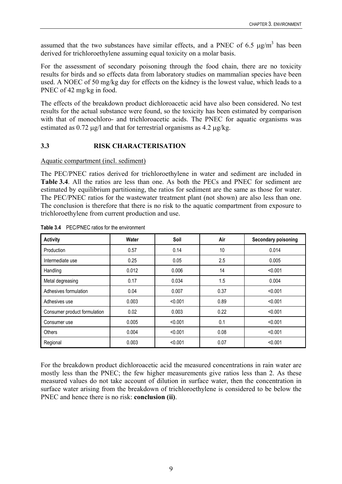<span id="page-14-0"></span>assumed that the two substances have similar effects, and a PNEC of 6.5  $\mu$ g/m<sup>3</sup> has been derived for trichloroethylene assuming equal toxicity on a molar basis.

For the assessment of secondary poisoning through the food chain, there are no toxicity results for birds and so effects data from laboratory studies on mammalian species have been used. A NOEC of 50 mg/kg day for effects on the kidney is the lowest value, which leads to a PNEC of 42 mg/kg in food.

The effects of the breakdown product dichloroacetic acid have also been considered. No test results for the actual substance were found, so the toxicity has been estimated by comparison with that of monochloro- and trichloroacetic acids. The PNEC for aquatic organisms was estimated as  $0.72 \text{ µg/l}$  and that for terrestrial organisms as  $4.2 \text{ µg/kg}$ .

## **3.3 RISK CHARACTERISATION**

Aquatic compartment (incl. sediment)

The PEC/PNEC ratios derived for trichloroethylene in water and sediment are included in **Table 3.4**. All the ratios are less than one. As both the PECs and PNEC for sediment are estimated by equilibrium partitioning, the ratios for sediment are the same as those for water. The PEC/PNEC ratios for the wastewater treatment plant (not shown) are also less than one. The conclusion is therefore that there is no risk to the aquatic compartment from exposure to trichloroethylene from current production and use.

| <b>Activity</b>              | Water | Soil    | Air  | <b>Secondary poisoning</b> |
|------------------------------|-------|---------|------|----------------------------|
| Production                   | 0.57  | 0.14    | 10   | 0.014                      |
| Intermediate use             | 0.25  | 0.05    | 2.5  | 0.005                      |
| Handling                     | 0.012 | 0.006   | 14   | < 0.001                    |
| Metal degreasing             | 0.17  | 0.034   | 1.5  | 0.004                      |
| Adhesives formulation        | 0.04  | 0.007   | 0.37 | < 0.001                    |
| Adhesives use                | 0.003 | < 0.001 | 0.89 | < 0.001                    |
| Consumer product formulation | 0.02  | 0.003   | 0.22 | < 0.001                    |
| Consumer use                 | 0.005 | < 0.001 | 0.1  | < 0.001                    |
| Others                       | 0.004 | < 0.001 | 0.08 | < 0.001                    |
| Regional                     | 0.003 | < 0.001 | 0.07 | < 0.001                    |

#### **Table 3.4** PEC/PNEC ratios for the environment

For the breakdown product dichloroacetic acid the measured concentrations in rain water are mostly less than the PNEC; the few higher measurements give ratios less than 2. As these measured values do not take account of dilution in surface water, then the concentration in surface water arising from the breakdown of trichloroethylene is considered to be below the PNEC and hence there is no risk: **conclusion (ii)**.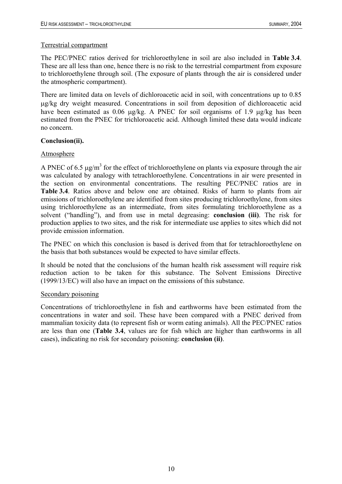## Terrestrial compartment

The PEC/PNEC ratios derived for trichloroethylene in soil are also included in **Table 3.4**. These are all less than one, hence there is no risk to the terrestrial compartment from exposure to trichloroethylene through soil. (The exposure of plants through the air is considered under the atmospheric compartment).

There are limited data on levels of dichloroacetic acid in soil, with concentrations up to 0.85 µg/kg dry weight measured. Concentrations in soil from deposition of dichloroacetic acid have been estimated as 0.06  $\mu$ g/kg. A PNEC for soil organisms of 1.9  $\mu$ g/kg has been estimated from the PNEC for trichloroacetic acid. Although limited these data would indicate no concern.

## **Conclusion(ii).**

## Atmosphere

A PNEC of 6.5  $\mu$ g/m<sup>3</sup> for the effect of trichloroethylene on plants via exposure through the air was calculated by analogy with tetrachloroethylene. Concentrations in air were presented in the section on environmental concentrations. The resulting PEC/PNEC ratios are in **Table 3.4**. Ratios above and below one are obtained. Risks of harm to plants from air emissions of trichloroethylene are identified from sites producing trichloroethylene, from sites using trichloroethylene as an intermediate, from sites formulating trichloroethylene as a solvent ("handling"), and from use in metal degreasing: **conclusion (iii)**. The risk for production applies to two sites, and the risk for intermediate use applies to sites which did not provide emission information.

The PNEC on which this conclusion is based is derived from that for tetrachloroethylene on the basis that both substances would be expected to have similar effects.

It should be noted that the conclusions of the human health risk assessment will require risk reduction action to be taken for this substance. The Solvent Emissions Directive (1999/13/EC) will also have an impact on the emissions of this substance.

#### Secondary poisoning

Concentrations of trichloroethylene in fish and earthworms have been estimated from the concentrations in water and soil. These have been compared with a PNEC derived from mammalian toxicity data (to represent fish or worm eating animals). All the PEC/PNEC ratios are less than one (**Table 3.4**, values are for fish which are higher than earthworms in all cases), indicating no risk for secondary poisoning: **conclusion (ii)**.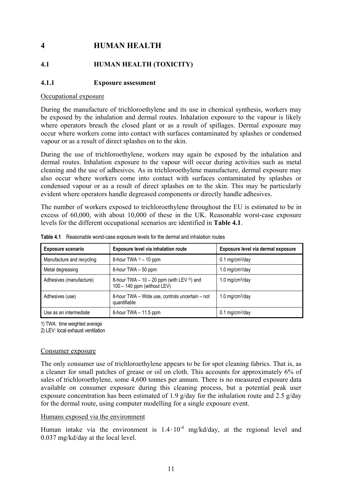# <span id="page-16-0"></span>**4 HUMAN HEALTH**

## **4.1 HUMAN HEALTH (TOXICITY)**

## **4.1.1 Exposure assessment**

#### Occupational exposure

During the manufacture of trichloroethylene and its use in chemical synthesis, workers may be exposed by the inhalation and dermal routes. Inhalation exposure to the vapour is likely where operators breach the closed plant or as a result of spillages. Dermal exposure may occur where workers come into contact with surfaces contaminated by splashes or condensed vapour or as a result of direct splashes on to the skin.

During the use of trichloroethylene, workers may again be exposed by the inhalation and dermal routes. Inhalation exposure to the vapour will occur during activities such as metal cleaning and the use of adhesives. As in trichloroethylene manufacture, dermal exposure may also occur where workers come into contact with surfaces contaminated by splashes or condensed vapour or as a result of direct splashes on to the skin. This may be particularly evident where operators handle degreased components or directly handle adhesives.

The number of workers exposed to trichloroethylene throughout the EU is estimated to be in excess of 60,000, with about 10,000 of these in the UK. Reasonable worst-case exposure levels for the different occupational scenarios are identified in **Table 4.1**.

| Exposure level via inhalation route<br><b>Exposure scenario</b> |                                                                                      | Exposure level via dermal exposure |
|-----------------------------------------------------------------|--------------------------------------------------------------------------------------|------------------------------------|
| Manufacture and recycling                                       | 8-hour TWA $\frac{1}{1}$ – 10 ppm                                                    | $0.1$ mg/cm <sup>2</sup> /day      |
| Metal degreasing                                                | 8-hour TWA - 50 ppm                                                                  | 1.0 mg/cm $2$ /day                 |
| Adhesives (manufacture)                                         | 8-hour TWA $-10-20$ ppm (with LEV <sup>2)</sup> ) and<br>100 - 140 ppm (without LEV) | 1.0 mg/cm $^{2}$ /day              |
| Adhesives (use)                                                 | 8-hour TWA - Wide use, controls uncertain - not<br>quantifiable                      | 1.0 mg/cm $^{2}$ /day              |
| Use as an intermediate                                          | 8-hour TWA - 11.5 ppm                                                                | $0.1 \text{ mg/cm}^2/\text{day}$   |

**Table 4.1** Reasonable worst-case exposure levels for the dermal and inhalation routes

1) TWA: time weighted average

2) LEV: local exhaust ventilation

#### Consumer exposure

The only consumer use of trichloroethylene appears to be for spot cleaning fabrics. That is, as a cleaner for small patches of grease or oil on cloth. This accounts for approximately 6% of sales of trichloroethylene, some 4,600 tonnes per annum. There is no measured exposure data available on consumer exposure during this cleaning process, but a potential peak user exposure concentration has been estimated of 1.9 g/day for the inhalation route and 2.5 g/day for the dermal route, using computer modelling for a single exposure event.

#### Humans exposed via the environment

Human intake via the environment is  $1.4 \cdot 10^{-4}$  mg/kd/day, at the regional level and 0.037 mg/kd/day at the local level.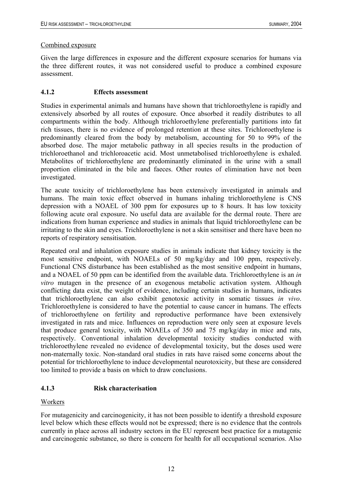## <span id="page-17-0"></span>Combined exposure

Given the large differences in exposure and the different exposure scenarios for humans via the three different routes, it was not considered useful to produce a combined exposure assessment.

## **4.1.2 Effects assessment**

Studies in experimental animals and humans have shown that trichloroethylene is rapidly and extensively absorbed by all routes of exposure. Once absorbed it readily distributes to all compartments within the body. Although trichloroethylene preferentially partitions into fat rich tissues, there is no evidence of prolonged retention at these sites. Trichloroethylene is predominantly cleared from the body by metabolism, accounting for 50 to 99% of the absorbed dose. The major metabolic pathway in all species results in the production of trichloroethanol and trichloroacetic acid. Most unmetabolised trichloroethylene is exhaled. Metabolites of trichloroethylene are predominantly eliminated in the urine with a small proportion eliminated in the bile and faeces. Other routes of elimination have not been investigated.

The acute toxicity of trichloroethylene has been extensively investigated in animals and humans. The main toxic effect observed in humans inhaling trichloroethylene is CNS depression with a NOAEL of 300 ppm for exposures up to 8 hours. It has low toxicity following acute oral exposure. No useful data are available for the dermal route. There are indications from human experience and studies in animals that liquid trichloroethylene can be irritating to the skin and eyes. Trichloroethylene is not a skin sensitiser and there have been no reports of respiratory sensitisation.

Repeated oral and inhalation exposure studies in animals indicate that kidney toxicity is the most sensitive endpoint, with NOAELs of 50 mg/kg/day and 100 ppm, respectively. Functional CNS disturbance has been established as the most sensitive endpoint in humans, and a NOAEL of 50 ppm can be identified from the available data. Trichloroethylene is an *in vitro* mutagen in the presence of an exogenous metabolic activation system. Although conflicting data exist, the weight of evidence, including certain studies in humans, indicates that trichloroethylene can also exhibit genotoxic activity in somatic tissues *in vivo*. Trichloroethylene is considered to have the potential to cause cancer in humans. The effects of trichloroethylene on fertility and reproductive performance have been extensively investigated in rats and mice. Influences on reproduction were only seen at exposure levels that produce general toxicity, with NOAELs of 350 and 75 mg/kg/day in mice and rats, respectively. Conventional inhalation developmental toxicity studies conducted with trichloroethylene revealed no evidence of developmental toxicity, but the doses used were non-maternally toxic. Non-standard oral studies in rats have raised some concerns about the potential for trichloroethylene to induce developmental neurotoxicity, but these are considered too limited to provide a basis on which to draw conclusions.

## **4.1.3 Risk characterisation**

## Workers

For mutagenicity and carcinogenicity, it has not been possible to identify a threshold exposure level below which these effects would not be expressed; there is no evidence that the controls currently in place across all industry sectors in the EU represent best practice for a mutagenic and carcinogenic substance, so there is concern for health for all occupational scenarios. Also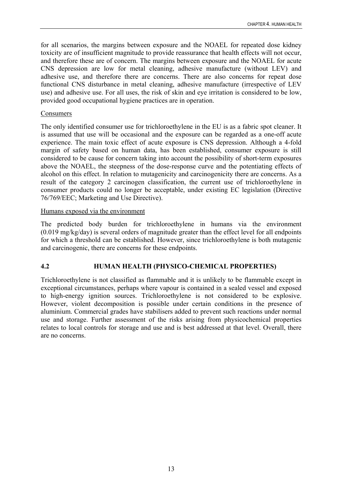<span id="page-18-0"></span>for all scenarios, the margins between exposure and the NOAEL for repeated dose kidney toxicity are of insufficient magnitude to provide reassurance that health effects will not occur, and therefore these are of concern. The margins between exposure and the NOAEL for acute CNS depression are low for metal cleaning, adhesive manufacture (without LEV) and adhesive use, and therefore there are concerns. There are also concerns for repeat dose functional CNS disturbance in metal cleaning, adhesive manufacture (irrespective of LEV use) and adhesive use. For all uses, the risk of skin and eye irritation is considered to be low, provided good occupational hygiene practices are in operation.

#### Consumers

The only identified consumer use for trichloroethylene in the EU is as a fabric spot cleaner. It is assumed that use will be occasional and the exposure can be regarded as a one-off acute experience. The main toxic effect of acute exposure is CNS depression. Although a 4-fold margin of safety based on human data, has been established, consumer exposure is still considered to be cause for concern taking into account the possibility of short-term exposures above the NOAEL, the steepness of the dose-response curve and the potentiating effects of alcohol on this effect. In relation to mutagenicity and carcinogenicity there are concerns. As a result of the category 2 carcinogen classification, the current use of trichloroethylene in consumer products could no longer be acceptable, under existing EC legislation (Directive 76/769/EEC; Marketing and Use Directive).

## Humans exposed via the environment

The predicted body burden for trichloroethylene in humans via the environment (0.019 mg/kg/day) is several orders of magnitude greater than the effect level for all endpoints for which a threshold can be established. However, since trichloroethylene is both mutagenic and carcinogenic, there are concerns for these endpoints.

## **4.2 HUMAN HEALTH (PHYSICO-CHEMICAL PROPERTIES)**

Trichloroethylene is not classified as flammable and it is unlikely to be flammable except in exceptional circumstances, perhaps where vapour is contained in a sealed vessel and exposed to high-energy ignition sources. Trichloroethylene is not considered to be explosive. However, violent decomposition is possible under certain conditions in the presence of aluminium. Commercial grades have stabilisers added to prevent such reactions under normal use and storage. Further assessment of the risks arising from physicochemical properties relates to local controls for storage and use and is best addressed at that level. Overall, there are no concerns.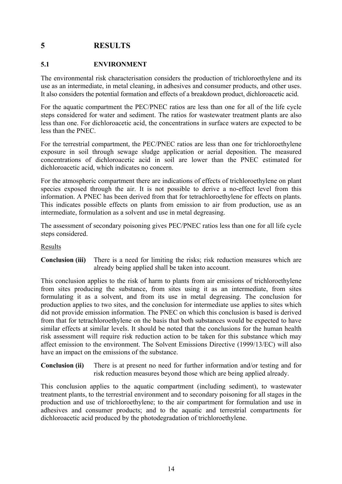# <span id="page-19-0"></span>**5 RESULTS**

## **5.1 ENVIRONMENT**

The environmental risk characterisation considers the production of trichloroethylene and its use as an intermediate, in metal cleaning, in adhesives and consumer products, and other uses. It also considers the potential formation and effects of a breakdown product, dichloroacetic acid.

For the aquatic compartment the PEC/PNEC ratios are less than one for all of the life cycle steps considered for water and sediment. The ratios for wastewater treatment plants are also less than one. For dichloroacetic acid, the concentrations in surface waters are expected to be less than the PNEC.

For the terrestrial compartment, the PEC/PNEC ratios are less than one for trichloroethylene exposure in soil through sewage sludge application or aerial deposition. The measured concentrations of dichloroacetic acid in soil are lower than the PNEC estimated for dichloroacetic acid, which indicates no concern.

For the atmospheric compartment there are indications of effects of trichloroethylene on plant species exposed through the air. It is not possible to derive a no-effect level from this information. A PNEC has been derived from that for tetrachloroethylene for effects on plants. This indicates possible effects on plants from emission to air from production, use as an intermediate, formulation as a solvent and use in metal degreasing.

The assessment of secondary poisoning gives PEC/PNEC ratios less than one for all life cycle steps considered.

#### Results

**Conclusion (iii)** There is a need for limiting the risks; risk reduction measures which are already being applied shall be taken into account.

This conclusion applies to the risk of harm to plants from air emissions of trichloroethylene from sites producing the substance, from sites using it as an intermediate, from sites formulating it as a solvent, and from its use in metal degreasing. The conclusion for production applies to two sites, and the conclusion for intermediate use applies to sites which did not provide emission information. The PNEC on which this conclusion is based is derived from that for tetrachloroethylene on the basis that both substances would be expected to have similar effects at similar levels. It should be noted that the conclusions for the human health risk assessment will require risk reduction action to be taken for this substance which may affect emission to the environment. The Solvent Emissions Directive (1999/13/EC) will also have an impact on the emissions of the substance.

**Conclusion (ii)** There is at present no need for further information and/or testing and for risk reduction measures beyond those which are being applied already.

This conclusion applies to the aquatic compartment (including sediment), to wastewater treatment plants, to the terrestrial environment and to secondary poisoning for all stages in the production and use of trichloroethylene; to the air compartment for formulation and use in adhesives and consumer products; and to the aquatic and terrestrial compartments for dichloroacetic acid produced by the photodegradation of trichloroethylene.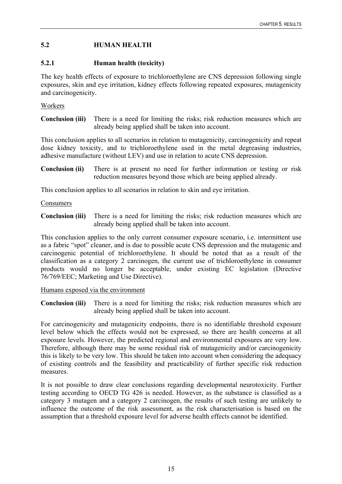## <span id="page-20-0"></span>**5.2 HUMAN HEALTH**

#### **5.2.1 Human health (toxicity)**

The key health effects of exposure to trichloroethylene are CNS depression following single exposures, skin and eye irritation, kidney effects following repeated exposures, mutagenicity and carcinogenicity.

#### Workers

**Conclusion (iii)** There is a need for limiting the risks; risk reduction measures which are already being applied shall be taken into account.

This conclusion applies to all scenarios in relation to mutagenicity, carcinogenicity and repeat dose kidney toxicity, and to trichloroethylene used in the metal degreasing industries, adhesive manufacture (without LEV) and use in relation to acute CNS depression.

**Conclusion (ii)** There is at present no need for further information or testing or risk reduction measures beyond those which are being applied already.

This conclusion applies to all scenarios in relation to skin and eye irritation.

#### Consumers

**Conclusion (iii)** There is a need for limiting the risks; risk reduction measures which are already being applied shall be taken into account.

This conclusion applies to the only current consumer exposure scenario, i.e. intermittent use as a fabric "spot" cleaner, and is due to possible acute CNS depression and the mutagenic and carcinogenic potential of trichloroethylene. It should be noted that as a result of the classification as a category 2 carcinogen, the current use of trichloroethylene in consumer products would no longer be acceptable, under existing EC legislation (Directive 76/769/EEC; Marketing and Use Directive).

#### Humans exposed via the environment

**Conclusion (iii)** There is a need for limiting the risks; risk reduction measures which are already being applied shall be taken into account.

For carcinogenicity and mutagenicity endpoints, there is no identifiable threshold exposure level below which the effects would not be expressed, so there are health concerns at all exposure levels. However, the predicted regional and environmental exposures are very low. Therefore, although there may be some residual risk of mutagenicity and/or carcinogenicity this is likely to be very low. This should be taken into account when considering the adequacy of existing controls and the feasibility and practicability of further specific risk reduction measures.

It is not possible to draw clear conclusions regarding developmental neurotoxicity. Further testing according to OECD TG 426 is needed. However, as the substance is classified as a category 3 mutagen and a category 2 carcinogen, the results of such testing are unlikely to influence the outcome of the risk assessment, as the risk characterisation is based on the assumption that a threshold exposure level for adverse health effects cannot be identified.